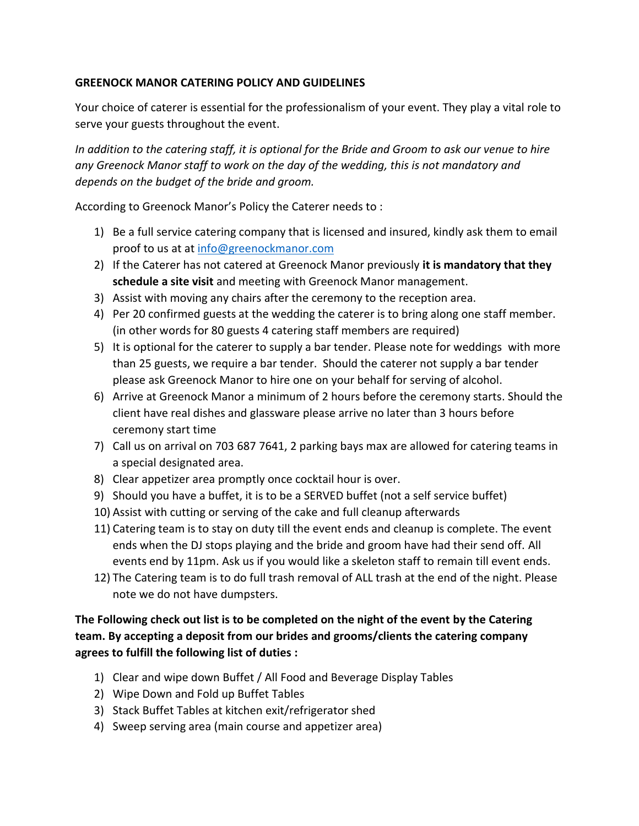## **GREENOCK MANOR CATERING POLICY AND GUIDELINES**

Your choice of caterer is essential for the professionalism of your event. They play a vital role to serve your guests throughout the event.

*In addition to the catering staff, it is optional for the Bride and Groom to ask our venue to hire any Greenock Manor staff to work on the day of the wedding, this is not mandatory and depends on the budget of the bride and groom.*

According to Greenock Manor's Policy the Caterer needs to :

- 1) Be a full service catering company that is licensed and insured, kindly ask them to email proof to us at at [info@greenockmanor.com](mailto:info@greenockmanor.com)
- 2) If the Caterer has not catered at Greenock Manor previously **it is mandatory that they schedule a site visit** and meeting with Greenock Manor management.
- 3) Assist with moving any chairs after the ceremony to the reception area.
- 4) Per 20 confirmed guests at the wedding the caterer is to bring along one staff member. (in other words for 80 guests 4 catering staff members are required)
- 5) It is optional for the caterer to supply a bar tender. Please note for weddings with more than 25 guests, we require a bar tender. Should the caterer not supply a bar tender please ask Greenock Manor to hire one on your behalf for serving of alcohol.
- 6) Arrive at Greenock Manor a minimum of 2 hours before the ceremony starts. Should the client have real dishes and glassware please arrive no later than 3 hours before ceremony start time
- 7) Call us on arrival on 703 687 7641, 2 parking bays max are allowed for catering teams in a special designated area.
- 8) Clear appetizer area promptly once cocktail hour is over.
- 9) Should you have a buffet, it is to be a SERVED buffet (not a self service buffet)
- 10) Assist with cutting or serving of the cake and full cleanup afterwards
- 11) Catering team is to stay on duty till the event ends and cleanup is complete. The event ends when the DJ stops playing and the bride and groom have had their send off. All events end by 11pm. Ask us if you would like a skeleton staff to remain till event ends.
- 12) The Catering team is to do full trash removal of ALL trash at the end of the night. Please note we do not have dumpsters.

## **The Following check out list is to be completed on the night of the event by the Catering team. By accepting a deposit from our brides and grooms/clients the catering company agrees to fulfill the following list of duties :**

- 1) Clear and wipe down Buffet / All Food and Beverage Display Tables
- 2) Wipe Down and Fold up Buffet Tables
- 3) Stack Buffet Tables at kitchen exit/refrigerator shed
- 4) Sweep serving area (main course and appetizer area)